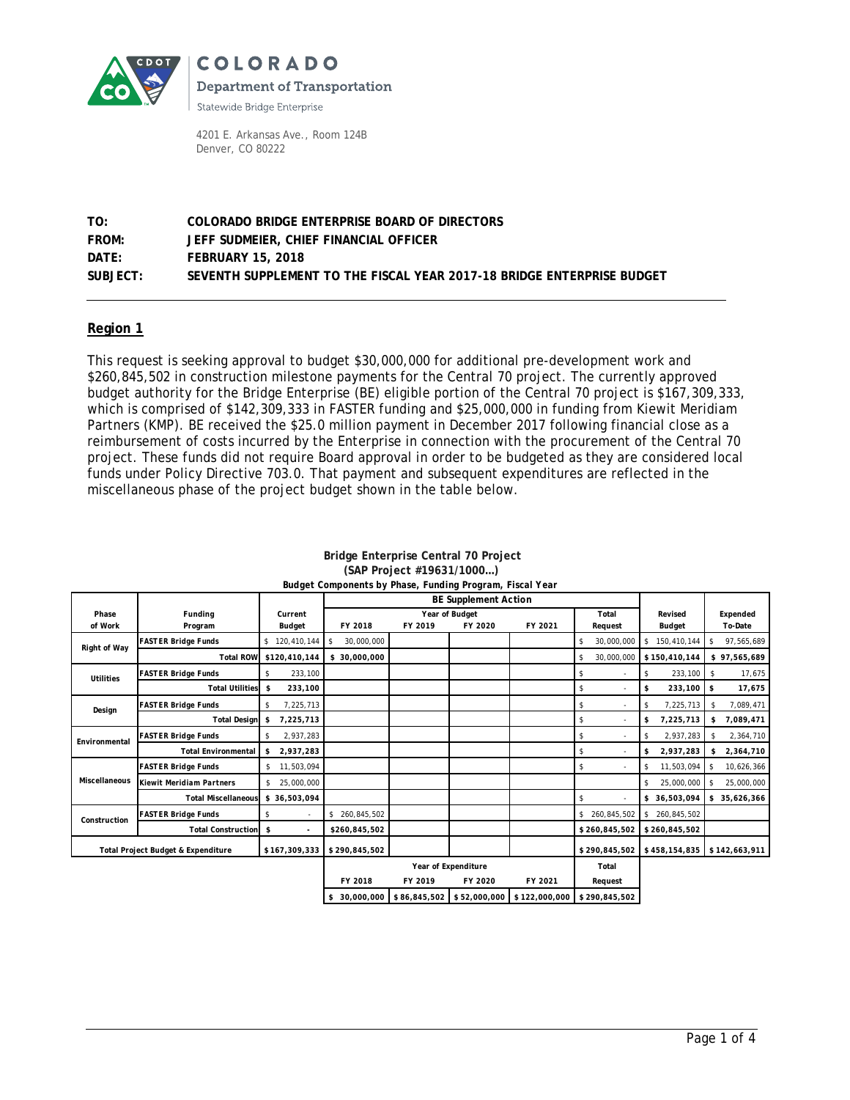

COLORADO **Department of Transportation** 

Statewide Bridge Enterprise

4201 E. Arkansas Ave., Room 124B Denver, CO 80222

### **TO: COLORADO BRIDGE ENTERPRISE BOARD OF DIRECTORS FROM: JEFF SUDMEIER, CHIEF FINANCIAL OFFICER DATE: FEBRUARY 15, 2018 SUBJECT: SEVENTH SUPPLEMENT TO THE FISCAL YEAR 2017-18 BRIDGE ENTERPRISE BUDGET**

### **Region 1**

This request is seeking approval to budget \$30,000,000 for additional pre-development work and \$260,845,502 in construction milestone payments for the Central 70 project. The currently approved budget authority for the Bridge Enterprise (BE) eligible portion of the Central 70 project is \$167,309,333, which is comprised of \$142,309,333 in FASTER funding and \$25,000,000 in funding from Kiewit Meridiam Partners (KMP). BE received the \$25.0 million payment in December 2017 following financial close as a reimbursement of costs incurred by the Enterprise in connection with the procurement of the Central 70 project. These funds did not require Board approval in order to be budgeted as they are considered local funds under Policy Directive 703.0. That payment and subsequent expenditures are reflected in the miscellaneous phase of the project budget shown in the table below.

|                                               |                                 |                      |                  | <b>BE Supplement Action</b> |                     |               |                  |                   |                  |
|-----------------------------------------------|---------------------------------|----------------------|------------------|-----------------------------|---------------------|---------------|------------------|-------------------|------------------|
| Phase                                         | Funding                         | Current              |                  | Year of Budget<br>Total     |                     |               |                  |                   | Expended         |
| of Work                                       | Program                         | <b>Budget</b>        | FY 2018          | FY 2019                     | FY 2020             | FY 2021       | Request          | Budget            | To-Date          |
| Right of Way                                  | <b>FASTER Bridge Funds</b>      | \$120,410,144        | 30,000,000<br>\$ |                             |                     |               | 30,000,000<br>\$ | 150,410,144<br>\$ | 97,565,689<br>s  |
|                                               | <b>Total ROW</b>                | \$120,410,144        | \$ 30,000,000    |                             |                     |               | \$<br>30,000,000 | \$150,410,144     | \$97,565,689     |
| <b>Utilities</b>                              | <b>FASTER Bridge Funds</b>      | 233,100<br>\$        |                  |                             |                     |               | s.               | 233,100<br>s.     | 17,675<br>\$     |
|                                               | <b>Total Utilities</b>          | 233,100<br>\$        |                  |                             |                     |               | s.               | 233,100<br>\$     | \$<br>17,675     |
| Design                                        | <b>FASTER Bridge Funds</b>      | 7,225,713<br>\$      |                  |                             |                     |               | \$               | 7,225,713<br>s.   | 7,089,471<br>\$  |
|                                               | <b>Total Design</b>             | 7,225,713<br>\$      |                  |                             |                     |               | s.               | 7,225,713<br>\$   | 7,089,471<br>\$  |
| Environmental                                 | <b>FASTER Bridge Funds</b>      | 2,937,283<br>\$      |                  |                             |                     |               | \$               | 2,937,283<br>\$   | 2,364,710<br>-\$ |
|                                               | <b>Total Environmental</b>      | 2,937,283<br>\$      |                  |                             |                     |               | S.               | 2,937,283<br>\$   | 2,364,710<br>\$  |
|                                               | <b>FASTER Bridge Funds</b>      | 11,503,094<br>s.     |                  |                             |                     |               | \$               | 11,503,094<br>s.  | 10,626,366<br>\$ |
| Miscellaneous                                 | <b>Kiewit Meridiam Partners</b> | 25,000,000<br>\$     |                  |                             |                     |               |                  | 25,000,000<br>s   | 25,000,000<br>s. |
|                                               | <b>Total Miscellaneous</b>      | \$36,503,094         |                  |                             |                     |               | \$               | \$ 36,503,094     | \$35,626,366     |
| Construction                                  | <b>FASTER Bridge Funds</b>      | \$<br>٠              | \$260,845,502    |                             |                     |               | \$260,845,502    | 260,845,502<br>s. |                  |
|                                               | <b>Total Construction</b>       | \$<br>$\overline{a}$ | \$260.845.502    |                             |                     |               | \$260,845,502    | \$260.845.502     |                  |
| <b>Total Project Budget &amp; Expenditure</b> |                                 | \$167,309,333        | \$290,845,502    |                             |                     |               | \$290,845,502    | \$458,154,835     | \$142,663,911    |
|                                               |                                 |                      |                  |                             | Year of Expenditure |               | Total            |                   |                  |
|                                               |                                 |                      | FY 2018          | FY 2019                     | FY 2020             | FY 2021       | Request          |                   |                  |
|                                               |                                 |                      | \$ 30,000,000    | \$86,845,502                | \$52,000,000        | \$122,000,000 | \$290,845,502    |                   |                  |

#### **Bridge Enterprise Central 70 Project (SAP Project #19631/1000…)** *Budget Components by Phase, Funding Program, Fiscal Year*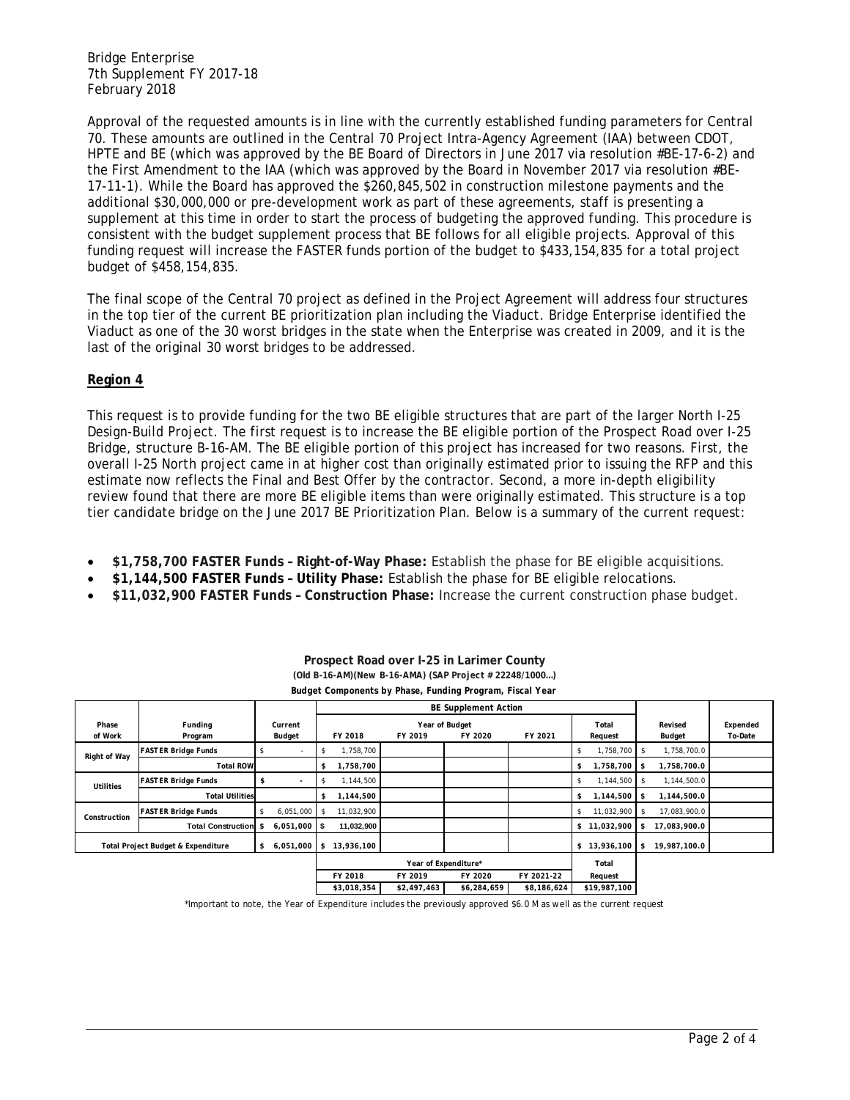Bridge Enterprise 7th Supplement FY 2017-18 February 2018

Approval of the requested amounts is in line with the currently established funding parameters for Central 70. These amounts are outlined in the Central 70 Project Intra-Agency Agreement (IAA) between CDOT, HPTE and BE (which was approved by the BE Board of Directors in June 2017 via resolution #BE-17-6-2) and the First Amendment to the IAA (which was approved by the Board in November 2017 via resolution #BE-17-11-1). While the Board has approved the \$260,845,502 in construction milestone payments and the additional \$30,000,000 or pre-development work as part of these agreements, staff is presenting a supplement at this time in order to start the process of budgeting the approved funding. This procedure is consistent with the budget supplement process that BE follows for all eligible projects. Approval of this funding request will increase the FASTER funds portion of the budget to \$433,154,835 for a total project budget of \$458,154,835.

The final scope of the Central 70 project as defined in the Project Agreement will address four structures in the top tier of the current BE prioritization plan including the Viaduct. Bridge Enterprise identified the Viaduct as one of the 30 worst bridges in the state when the Enterprise was created in 2009, and it is the last of the original 30 worst bridges to be addressed.

### **Region 4**

This request is to provide funding for the two BE eligible structures that are part of the larger North I-25 Design-Build Project. The first request is to increase the BE eligible portion of the Prospect Road over I-25 Bridge, structure B-16-AM. The BE eligible portion of this project has increased for two reasons. First, the overall I-25 North project came in at higher cost than originally estimated prior to issuing the RFP and this estimate now reflects the Final and Best Offer by the contractor. Second, a more in-depth eligibility review found that there are more BE eligible items than were originally estimated. This structure is a top tier candidate bridge on the June 2017 BE Prioritization Plan. Below is a summary of the current request:

- **\$1,758,700 FASTER Funds – Right-of-Way Phase:** Establish the phase for BE eligible acquisitions.
- **\$1,144,500 FASTER Funds – Utility Phase:** Establish the phase for BE eligible relocations.
- **\$11,032,900 FASTER Funds – Construction Phase:** Increase the current construction phase budget.

|                                    |                            |                          |                                  | <b>BE Supplement Action</b> |                           |             |                    |                      |                     |
|------------------------------------|----------------------------|--------------------------|----------------------------------|-----------------------------|---------------------------|-------------|--------------------|----------------------|---------------------|
| Phase<br>of Work                   | Funding<br>Program         | Current<br>Budget        | FY 2018                          | FY 2019                     | Year of Budget<br>FY 2020 | FY 2021     | Total<br>Request   | Revised<br>Budget    | Expended<br>To-Date |
| Right of Way                       | <b>FASTER Bridge Funds</b> | $\overline{\phantom{a}}$ | 1,758,700<br>\$                  |                             |                           |             | 1,758,700          | 1,758,700.0<br>- \$  |                     |
|                                    | <b>Total ROW</b>           |                          | ,758,700<br>\$                   |                             |                           |             | 1,758,700 \$<br>\$ | 1,758,700.0          |                     |
| Utilities                          | <b>FASTER Bridge Funds</b> | \$<br>٠                  | 1,144,500<br><sup>\$</sup>       |                             |                           |             | 1,144,500 \$       | 1,144,500.0          |                     |
|                                    | <b>Total Utilities</b>     |                          | 1,144,500<br>\$                  |                             |                           |             | 1,144,500 \$<br>\$ | 1,144,500.0          |                     |
| Construction                       | <b>FASTER Bridge Funds</b> | 6,051,000                | 11,032,900<br>$\mathbf{\hat{s}}$ |                             |                           |             | 11,032,900<br>\$   | 17,083,900.0<br>- \$ |                     |
|                                    | Total Construction \$      | $6,051,000$ \$           | 11,032,900                       |                             |                           |             | \$11,032,900       | 17,083,900.0<br>- \$ |                     |
| Total Project Budget & Expenditure |                            | 6,051,000<br>\$          | \$<br>13,936,100                 |                             |                           |             | $$13,936,100$ \$   | 19,987,100.0         |                     |
|                                    |                            |                          | Year of Expenditure*             |                             |                           |             | Total              |                      |                     |
|                                    |                            |                          | FY 2018                          | FY 2019                     | FY 2020                   | FY 2021-22  | Request            |                      |                     |
|                                    |                            |                          | \$3,018,354                      | \$2,497,463                 | \$6,284,659               | \$8,186,624 | \$19,987,100       |                      |                     |

#### **Prospect Road over I-25 in Larimer County (Old B-16-AM)(New B-16-AMA) (SAP Project # 22248/1000…)** *Budget Components by Phase, Funding Program, Fiscal Year*

\*Important to note, the Year of Expenditure includes the previously approved \$6.0 M as well as the current request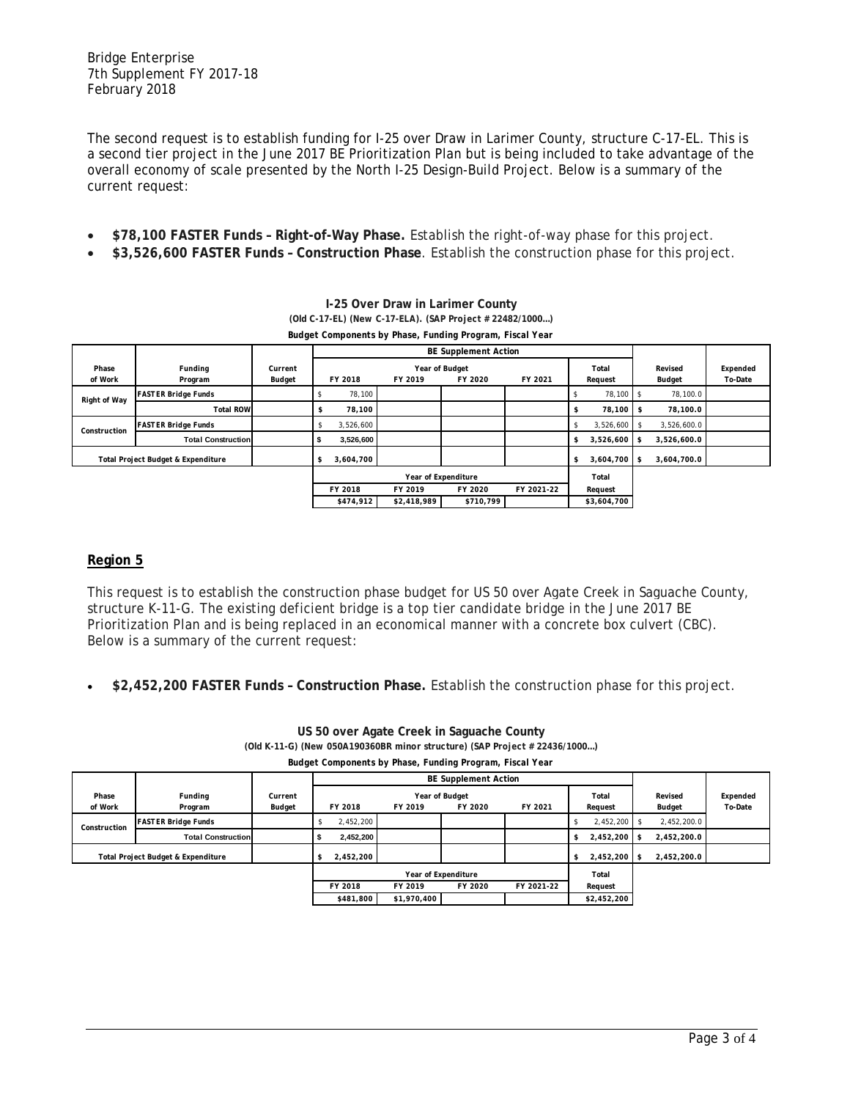The second request is to establish funding for I-25 over Draw in Larimer County, structure C-17-EL. This is a second tier project in the June 2017 BE Prioritization Plan but is being included to take advantage of the overall economy of scale presented by the North I-25 Design-Build Project. Below is a summary of the current request:

- **\$78,100 FASTER Funds – Right-of-Way Phase.** Establish the right-of-way phase for this project.
- **\$3,526,600 FASTER Funds – Construction Phase**. Establish the construction phase for this project.

**I-25 Over Draw in Larimer County**

| <b>I-20 OVEL DIAW III LAHIHEI COUILLY</b>                |                            |                   |                              |                             |                           |            |                            |                          |                     |  |  |
|----------------------------------------------------------|----------------------------|-------------------|------------------------------|-----------------------------|---------------------------|------------|----------------------------|--------------------------|---------------------|--|--|
| (Old C-17-EL) (New C-17-ELA). (SAP Project # 22482/1000) |                            |                   |                              |                             |                           |            |                            |                          |                     |  |  |
|                                                          |                            |                   |                              |                             |                           |            |                            |                          |                     |  |  |
|                                                          |                            |                   |                              | <b>BE Supplement Action</b> |                           |            |                            |                          |                     |  |  |
| Phase<br>of Work                                         | Funding<br>Program         | Current<br>Budget | FY 2018                      | FY 2019                     | Year of Budget<br>FY 2020 | FY 2021    | Total<br>Request           | Revised<br><b>Budget</b> | Expended<br>To-Date |  |  |
| Right of Way                                             | <b>FASTER Bridge Funds</b> |                   | 78,100                       |                             |                           |            | 78,100                     | 78,100.0                 |                     |  |  |
|                                                          | <b>Total ROW</b>           |                   | 78,100<br>s                  |                             |                           |            | 78,100                     | 78,100.0                 |                     |  |  |
| Construction                                             | <b>FASTER Bridge Funds</b> |                   | 3,526,600<br>\$              |                             |                           |            | 3,526,600<br><sup>\$</sup> | 3,526,600.0              |                     |  |  |
|                                                          | <b>Total Construction</b>  |                   | 3,526,600<br>5               |                             |                           |            | 3,526,600<br>s.            | 3,526,600.0<br>-S        |                     |  |  |
| Total Project Budget & Expenditure                       |                            |                   | 3,604,700<br>\$              |                             |                           |            | 3,604,700<br>s.            | - \$<br>3,604,700.0      |                     |  |  |
|                                                          |                            |                   | Year of Expenditure<br>Total |                             |                           |            |                            |                          |                     |  |  |
|                                                          |                            |                   | FY 2018                      | FY 2019                     | FY 2020                   | FY 2021-22 | Request                    |                          |                     |  |  |
|                                                          |                            |                   | \$474,912                    | \$2,418,989                 | \$710,799                 |            | \$3,604,700                |                          |                     |  |  |

## **Region 5**

This request is to establish the construction phase budget for US 50 over Agate Creek in Saguache County, structure K-11-G. The existing deficient bridge is a top tier candidate bridge in the June 2017 BE Prioritization Plan and is being replaced in an economical manner with a concrete box culvert (CBC). Below is a summary of the current request:

• **\$2,452,200 FASTER Funds – Construction Phase.** Establish the construction phase for this project.

| Budget Components by Phase, Funding Program, Fiscal Year |                            |                   |                             |                           |         |                |                  |                   |                     |  |
|----------------------------------------------------------|----------------------------|-------------------|-----------------------------|---------------------------|---------|----------------|------------------|-------------------|---------------------|--|
|                                                          |                            |                   | <b>BE Supplement Action</b> |                           |         |                |                  |                   |                     |  |
| Phase<br>of Work                                         | Funding<br>Program         | Current<br>Budget | FY 2018                     | Year of Budget<br>FY 2019 | FY 2020 | FY 2021        | Total<br>Request | Revised<br>Budget | Expended<br>To-Date |  |
| Construction                                             | <b>FASTER Bridge Funds</b> |                   | 2,452,200                   |                           |         |                | 2,452,200        | 2,452,200.0       |                     |  |
|                                                          | <b>Total Construction</b>  |                   | 2,452,200                   |                           |         |                | 2,452,200<br>ъ   | 2,452,200.0       |                     |  |
| Total Project Budget & Expenditure                       |                            | 2,452,200<br>s    |                             |                           |         | 2.452.200<br>S | 2.452.200.0      |                   |                     |  |
|                                                          |                            |                   | Year of Expenditure         |                           |         |                | Total            |                   |                     |  |
|                                                          |                            |                   | FY 2018                     | FY 2019                   | FY 2020 | FY 2021-22     | Request          |                   |                     |  |
|                                                          |                            |                   | \$481,800                   | \$1,970,400               |         |                | \$2,452,200      |                   |                     |  |

**US 50 over Agate Creek in Saguache County (Old K-11-G) (New 050A190360BR minor structure) (SAP Project # 22436/1000…)**